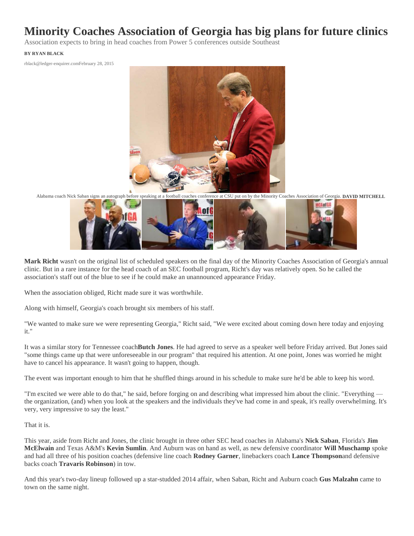## **Minority Coaches Association of Georgia has big plans for future clinics**

Association expects to bring in head coaches from Power 5 conferences outside Southeast

## **BY RYAN BLACK**

rblack@ledger-enquirer.comFebruary 28, 2015



Alabama coach Nick Saban signs an autograph before speaking at a football coaches conference at CSU put on by the Minority Coaches Association of Georgia. **DAVID MITCHELL**



**Mark Richt** wasn't on the original list of scheduled speakers on the final day of the Minority Coaches Association of Georgia's annual clinic. But in a rare instance for the head coach of an SEC football program, Richt's day was relatively open. So he called the association's staff out of the blue to see if he could make an unannounced appearance Friday.

When the association obliged, Richt made sure it was worthwhile.

Along with himself, Georgia's coach brought six members of his staff.

"We wanted to make sure we were representing Georgia," Richt said, "We were excited about coming down here today and enjoying it."

It was a similar story for Tennessee coach**Butch Jones**. He had agreed to serve as a speaker well before Friday arrived. But Jones said "some things came up that were unforeseeable in our program" that required his attention. At one point, Jones was worried he might have to cancel his appearance. It wasn't going to happen, though.

The event was important enough to him that he shuffled things around in his schedule to make sure he'd be able to keep his word.

"I'm excited we were able to do that," he said, before forging on and describing what impressed him about the clinic. "Everything the organization, (and) when you look at the speakers and the individuals they've had come in and speak, it's really overwhelming. It's very, very impressive to say the least."

## That it is.

This year, aside from Richt and Jones, the clinic brought in three other SEC head coaches in Alabama's **Nick Saban**, Florida's **Jim McElwain** and Texas A&M's **Kevin Sumlin**. And Auburn was on hand as well, as new defensive coordinator **Will Muschamp** spoke and had all three of his position coaches (defensive line coach **Rodney Garner**, linebackers coach **Lance Thompson**and defensive backs coach **Travaris Robinson**) in tow.

And this year's two-day lineup followed up a star-studded 2014 affair, when Saban, Richt and Auburn coach **Gus Malzahn** came to town on the same night.